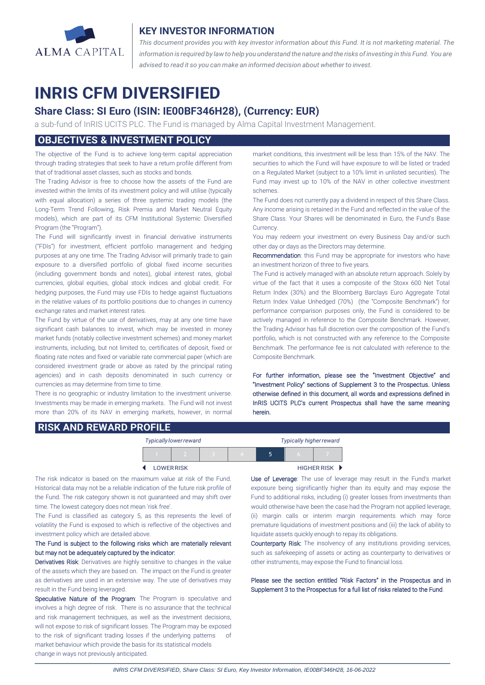

## **KEY INVESTOR INFORMATION**

*This document provides you with key investor information about this Fund. It is not marketing material. The* information is required by law to help you understand the nature and the risks of investing in this Fund. You are *advised to read it so you can make an informed decision about whether to invest.*

# **INRIS CFM DIVERSIFIED**

# **Share Class: SI Euro (ISIN: IE00BF346H28), (Currency: EUR)**

a sub-fund of InRIS UCITS PLC. The Fund is managed by Alma Capital Investment Management.

# **OBJECTIVES & INVESTMENT POLICY**

The objective of the Fund is to achieve long-term capital appreciation through trading strategies that seek to have a return profile different from that of traditional asset classes, such as stocks and bonds.

The Trading Advisor is free to choose how the assets of the Fund are invested within the limits of its investment policy and will utilise (typically with equal allocation) a series of three systemic trading models (the Long-Term Trend Following, Risk Premia and Market Neutral Equity models), which are part of its CFM Institutional Systemic Diversified Program (the "Program").

The Fund will significantly invest in financial derivative instruments ("FDIs") for investment, efficient portfolio management and hedging purposes at any one time. The Trading Advisor will primarily trade to gain exposure to a diversified portfolio of global fixed income securities (including government bonds and notes), global interest rates, global currencies, global equities, global stock indices and global credit. For hedging purposes, the Fund may use FDIs to hedge against fluctuations in the relative values of its portfolio positions due to changes in currency exchange rates and market interest rates.

The Fund by virtue of the use of derivatives, may at any one time have significant cash balances to invest, which may be invested in money market funds (notably collective investment schemes) and money market instruments, including, but not limited to, certificates of deposit, fixed or floating rate notes and fixed or variable rate commercial paper (which are considered investment grade or above as rated by the principal rating agencies) and in cash deposits denominated in such currency or currencies as may determine from time to time.

There is no geographic or industry limitation to the investment universe. Investments may be made in emerging markets. The Fund will not invest more than 20% of its NAV in emerging markets, however, in normal market conditions, this investment will be less than 15% of the NAV. The securities to which the Fund will have exposure to will be listed or traded on a Regulated Market (subject to a 10% limit in unlisted securities). The Fund may invest up to 10% of the NAV in other collective investment schemes.

The Fund does not currently pay a dividend in respect of this Share Class. Any income arising is retained in the Fund and reflected in the value of the Share Class. Your Shares will be denominated in Euro, the Fund's Base Currency.

You may redeem your investment on every Business Day and/or such other day or days as the Directors may determine.

Recommendation: this Fund may be appropriate for investors who have an investment horizon of three to five years.

The Fund is actively managed with an absolute return approach. Solely by virtue of the fact that it uses a composite of the Stoxx 600 Net Total Return Index (30%) and the Bloomberg Barclays Euro Aggregate Total Return Index Value Unhedged (70%) (the "Composite Benchmark") for performance comparison purposes only, the Fund is considered to be actively managed in reference to the Composite Benchmark. However, the Trading Advisor has full discretion over the composition of the Fund's portfolio, which is not constructed with any reference to the Composite Benchmark. The performance fee is not calculated with reference to the Composite Benchmark.

For further information, please see the "Investment Objective" and "Investment Policy" sections of Supplement 3 to the Prospectus. Unless otherwise defined in this document, all words and expressions defined in InRIS UCITS PLC's current Prospectus shall have the same meaning herein.

### **RISK AND REWARD PROFILE**

| Typically lower reward |  |  |  |                      | <b>Typically higher reward</b> |  |  |
|------------------------|--|--|--|----------------------|--------------------------------|--|--|
|                        |  |  |  |                      | 5                              |  |  |
| <b>LOWER RISK</b>      |  |  |  | <b>HIGHER RISK ▶</b> |                                |  |  |

The risk indicator is based on the maximum value at risk of the Fund. Historical data may not be a reliable indication of the future risk profile of the Fund. The risk category shown is not guaranteed and may shift over time. The lowest category does not mean 'risk free'.

The Fund is classified as category 5, as this represents the level of volatility the Fund is exposed to which is reflective of the objectives and investment policy which are detailed above.

#### The Fund is subject to the following risks which are materially relevant but may not be adequately captured by the indicator:

Derivatives Risk: Derivatives are highly sensitive to changes in the value of the assets which they are based on. The impact on the Fund is greater as derivatives are used in an extensive way. The use of derivatives may result in the Fund being leveraged.

Speculative Nature of the Program: The Program is speculative and involves a high degree of risk. There is no assurance that the technical and risk management techniques, as well as the investment decisions, will not expose to risk of significant losses. The Program may be exposed to the risk of significant trading losses if the underlying patterns of market behaviour which provide the basis for its statistical models change in ways not previously anticipated.

 $\overline{a}$ 

Use of Leverage: The use of leverage may result in the Fund's market exposure being significantly higher than its equity and may expose the Fund to additional risks, including (i) greater losses from investments than would otherwise have been the case had the Program not applied leverage, (ii) margin calls or interim margin requirements which may force premature liquidations of investment positions and (iii) the lack of ability to liquidate assets quickly enough to repay its obligations.

Counterparty Risk: The insolvency of any institutions providing services, such as safekeeping of assets or acting as counterparty to derivatives or other instruments, may expose the Fund to financial loss.

Please see the section entitled "Risk Factors" in the Prospectus and in Supplement 3 to the Prospectus for a full list of risks related to the Fund.